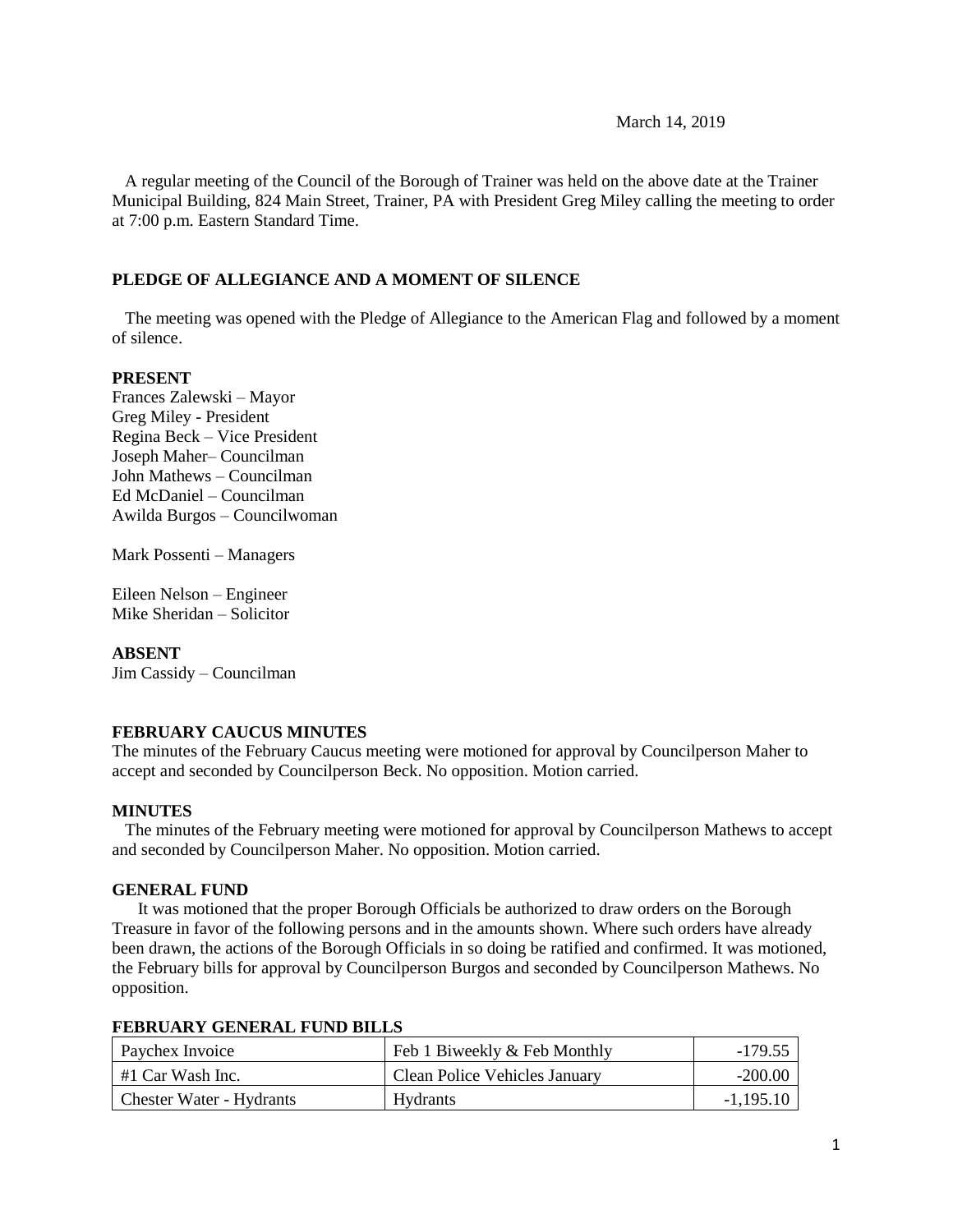### March 14, 2019

 A regular meeting of the Council of the Borough of Trainer was held on the above date at the Trainer Municipal Building, 824 Main Street, Trainer, PA with President Greg Miley calling the meeting to order at 7:00 p.m. Eastern Standard Time.

### **PLEDGE OF ALLEGIANCE AND A MOMENT OF SILENCE**

 The meeting was opened with the Pledge of Allegiance to the American Flag and followed by a moment of silence.

### **PRESENT**

Frances Zalewski – Mayor Greg Miley - President Regina Beck – Vice President Joseph Maher– Councilman John Mathews – Councilman Ed McDaniel – Councilman Awilda Burgos – Councilwoman

Mark Possenti – Managers

Eileen Nelson – Engineer Mike Sheridan – Solicitor

### **ABSENT**

Jim Cassidy – Councilman

### **FEBRUARY CAUCUS MINUTES**

The minutes of the February Caucus meeting were motioned for approval by Councilperson Maher to accept and seconded by Councilperson Beck. No opposition. Motion carried.

### **MINUTES**

The minutes of the February meeting were motioned for approval by Councilperson Mathews to accept and seconded by Councilperson Maher. No opposition. Motion carried.

### **GENERAL FUND**

 It was motioned that the proper Borough Officials be authorized to draw orders on the Borough Treasure in favor of the following persons and in the amounts shown. Where such orders have already been drawn, the actions of the Borough Officials in so doing be ratified and confirmed. It was motioned, the February bills for approval by Councilperson Burgos and seconded by Councilperson Mathews. No opposition.

| Paychex Invoice              | Feb 1 Biweekly & Feb Monthly         | $-179.55$   |
|------------------------------|--------------------------------------|-------------|
| $\parallel$ #1 Car Wash Inc. | <b>Clean Police Vehicles January</b> | $-200.00$   |
| Chester Water - Hydrants     | Hydrants                             | $-1,195.10$ |

#### **FEBRUARY GENERAL FUND BILLS**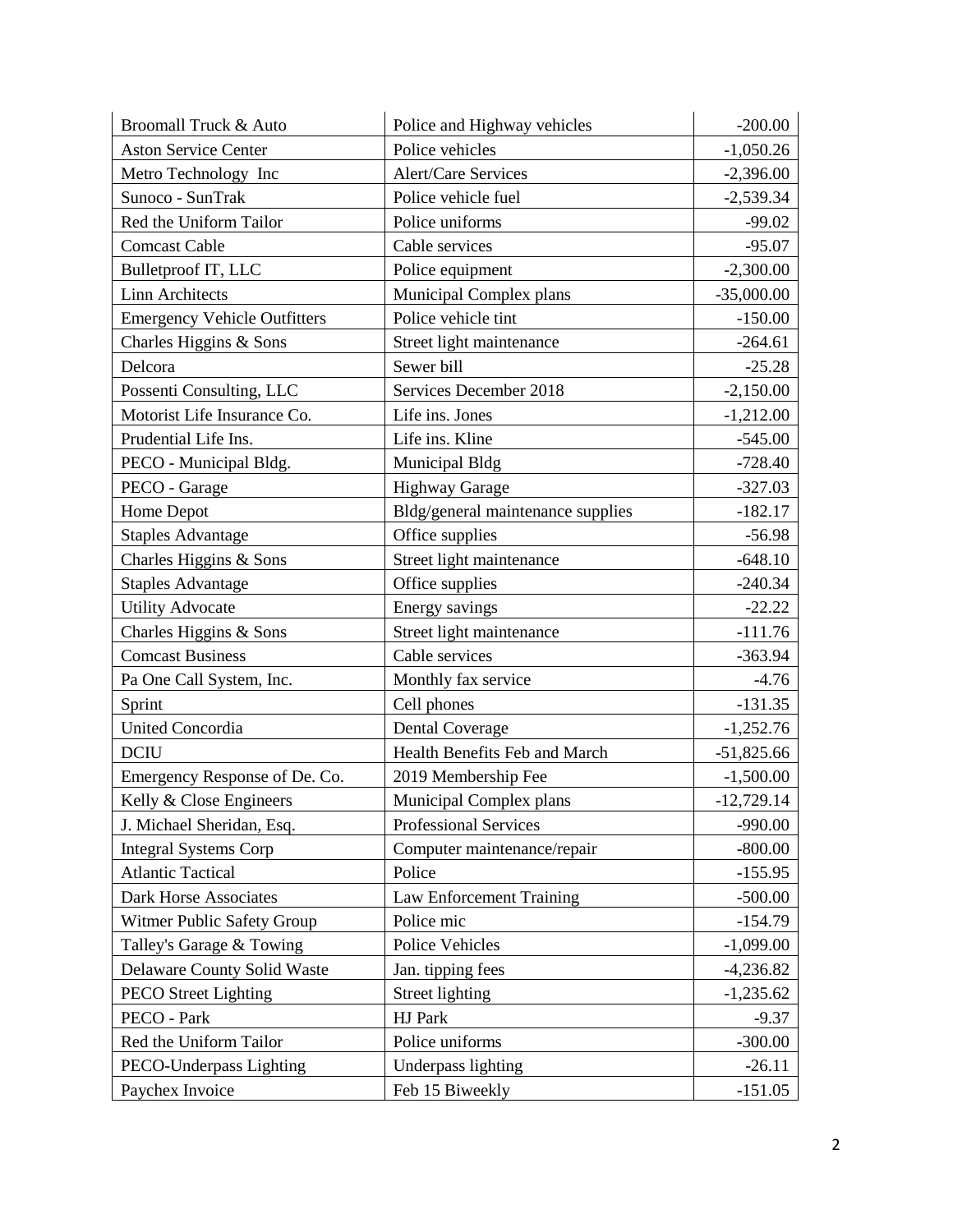| Broomall Truck & Auto               | Police and Highway vehicles       | $-200.00$    |
|-------------------------------------|-----------------------------------|--------------|
| <b>Aston Service Center</b>         | Police vehicles                   | $-1,050.26$  |
| Metro Technology Inc                | <b>Alert/Care Services</b>        | $-2,396.00$  |
| Sunoco - SunTrak                    | Police vehicle fuel               | $-2,539.34$  |
| Red the Uniform Tailor              | Police uniforms                   | $-99.02$     |
| <b>Comcast Cable</b>                | Cable services                    | $-95.07$     |
| Bulletproof IT, LLC                 | Police equipment                  | $-2,300.00$  |
| <b>Linn Architects</b>              | Municipal Complex plans           | $-35,000.00$ |
| <b>Emergency Vehicle Outfitters</b> | Police vehicle tint               | $-150.00$    |
| Charles Higgins & Sons              | Street light maintenance          | $-264.61$    |
| Delcora                             | Sewer bill                        | $-25.28$     |
| Possenti Consulting, LLC            | Services December 2018            | $-2,150.00$  |
| Motorist Life Insurance Co.         | Life ins. Jones                   | $-1,212.00$  |
| Prudential Life Ins.                | Life ins. Kline                   | $-545.00$    |
| PECO - Municipal Bldg.              | Municipal Bldg                    | $-728.40$    |
| PECO - Garage                       | <b>Highway Garage</b>             | $-327.03$    |
| Home Depot                          | Bldg/general maintenance supplies | $-182.17$    |
| <b>Staples Advantage</b>            | Office supplies                   | $-56.98$     |
| Charles Higgins & Sons              | Street light maintenance          | $-648.10$    |
| <b>Staples Advantage</b>            | Office supplies                   | $-240.34$    |
| <b>Utility Advocate</b>             | Energy savings                    | $-22.22$     |
| Charles Higgins & Sons              | Street light maintenance          | $-111.76$    |
| <b>Comcast Business</b>             | Cable services                    | $-363.94$    |
| Pa One Call System, Inc.            | Monthly fax service               | $-4.76$      |
| Sprint                              | Cell phones                       | $-131.35$    |
| <b>United Concordia</b>             | <b>Dental Coverage</b>            | $-1,252.76$  |
| <b>DCIU</b>                         | Health Benefits Feb and March     | $-51,825.66$ |
| Emergency Response of De. Co.       | 2019 Membership Fee               | $-1,500.00$  |
| Kelly & Close Engineers             | Municipal Complex plans           | $-12,729.14$ |
| J. Michael Sheridan, Esq.           | Professional Services             | $-990.00$    |
| <b>Integral Systems Corp</b>        | Computer maintenance/repair       | $-800.00$    |
| <b>Atlantic Tactical</b>            | Police                            | $-155.95$    |
| Dark Horse Associates               | Law Enforcement Training          | $-500.00$    |
| Witmer Public Safety Group          | Police mic                        | $-154.79$    |
| Talley's Garage & Towing            | <b>Police Vehicles</b>            | $-1,099.00$  |
| Delaware County Solid Waste         | Jan. tipping fees                 | $-4,236.82$  |
| <b>PECO</b> Street Lighting         | Street lighting                   | $-1,235.62$  |
| PECO - Park                         | HJ Park                           | $-9.37$      |
| Red the Uniform Tailor              | Police uniforms                   | $-300.00$    |
| PECO-Underpass Lighting             | Underpass lighting                | $-26.11$     |
| Paychex Invoice                     | Feb 15 Biweekly                   | $-151.05$    |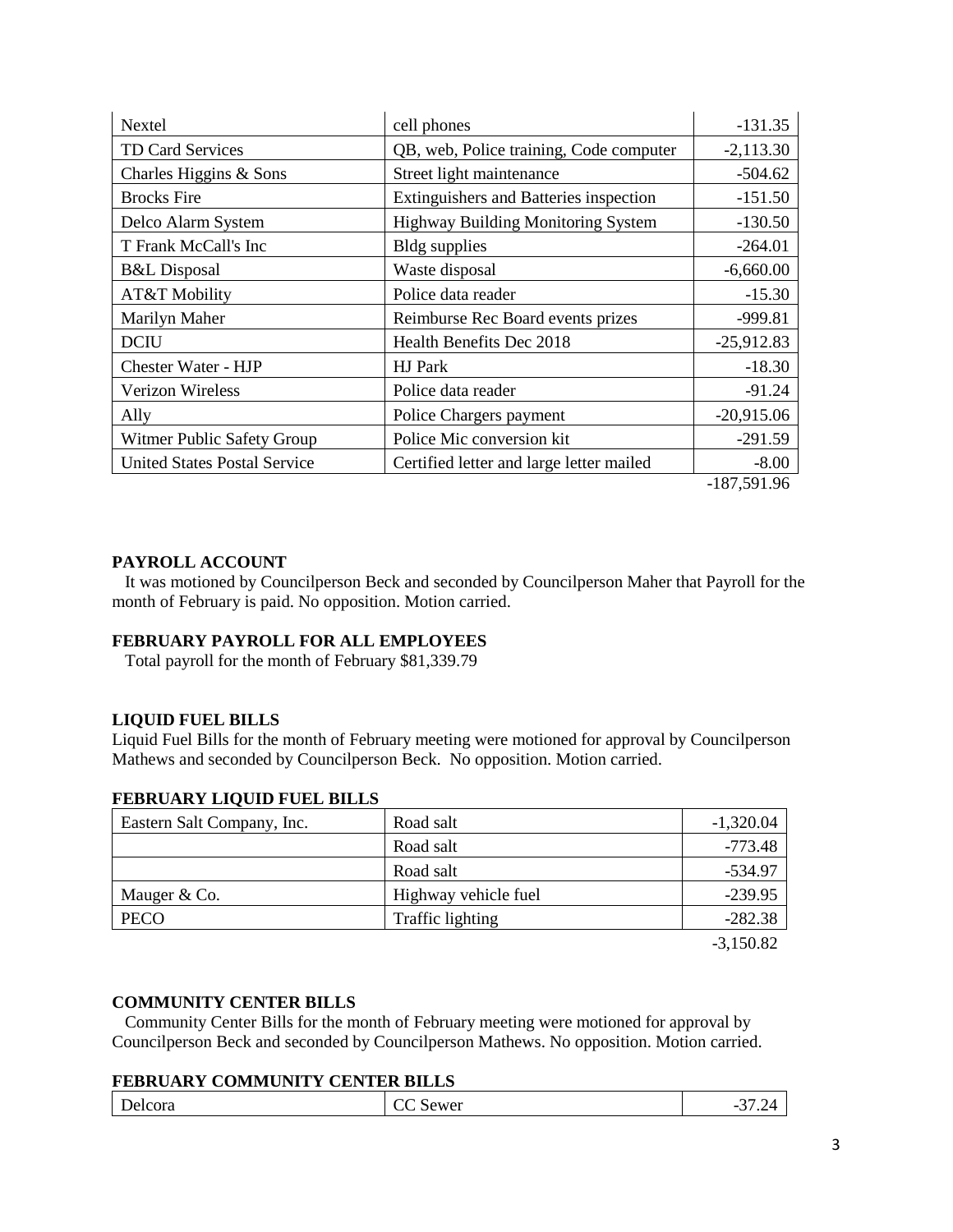| Nextel                              | cell phones                               | $-131.35$     |
|-------------------------------------|-------------------------------------------|---------------|
| <b>TD Card Services</b>             | QB, web, Police training, Code computer   | $-2,113.30$   |
| Charles Higgins & Sons              | Street light maintenance                  | $-504.62$     |
| <b>Brocks</b> Fire                  | Extinguishers and Batteries inspection    | $-151.50$     |
| Delco Alarm System                  | <b>Highway Building Monitoring System</b> | $-130.50$     |
| T Frank McCall's Inc                | Bldg supplies                             | $-264.01$     |
| <b>B&amp;L</b> Disposal             | Waste disposal                            | $-6,660.00$   |
| AT&T Mobility                       | Police data reader                        | $-15.30$      |
| Marilyn Maher                       | Reimburse Rec Board events prizes         | $-999.81$     |
| <b>DCIU</b>                         | Health Benefits Dec 2018                  | $-25,912.83$  |
| Chester Water - HJP                 | HJ Park                                   | $-18.30$      |
| Verizon Wireless                    | Police data reader                        | $-91.24$      |
| Ally                                | Police Chargers payment                   | $-20,915.06$  |
| Witmer Public Safety Group          | Police Mic conversion kit                 | $-291.59$     |
| <b>United States Postal Service</b> | Certified letter and large letter mailed  | $-8.00$       |
|                                     |                                           | $-187,591.96$ |

### **PAYROLL ACCOUNT**

 It was motioned by Councilperson Beck and seconded by Councilperson Maher that Payroll for the month of February is paid. No opposition. Motion carried.

### **FEBRUARY PAYROLL FOR ALL EMPLOYEES**

Total payroll for the month of February \$81,339.79

### **LIQUID FUEL BILLS**

Liquid Fuel Bills for the month of February meeting were motioned for approval by Councilperson Mathews and seconded by Councilperson Beck. No opposition. Motion carried.

### **FEBRUARY LIQUID FUEL BILLS**

| Eastern Salt Company, Inc. | Road salt            | $-1,320.04$ |
|----------------------------|----------------------|-------------|
|                            | Road salt            | -773.48     |
|                            | Road salt            | -534.97     |
| Mauger & Co.               | Highway vehicle fuel | $-239.95$   |
| PECO                       | Traffic lighting     | $-282.38$   |
|                            |                      |             |

-3,150.82

### **COMMUNITY CENTER BILLS**

 Community Center Bills for the month of February meeting were motioned for approval by Councilperson Beck and seconded by Councilperson Mathews. No opposition. Motion carried.

### **FEBRUARY COMMUNITY CENTER BILLS**

| Delcora<br>$\sim$ מ<br>⌒ー<br>Sewer<br>-<br>$\overline{\phantom{0}}$<br>ັ |
|--------------------------------------------------------------------------|
|--------------------------------------------------------------------------|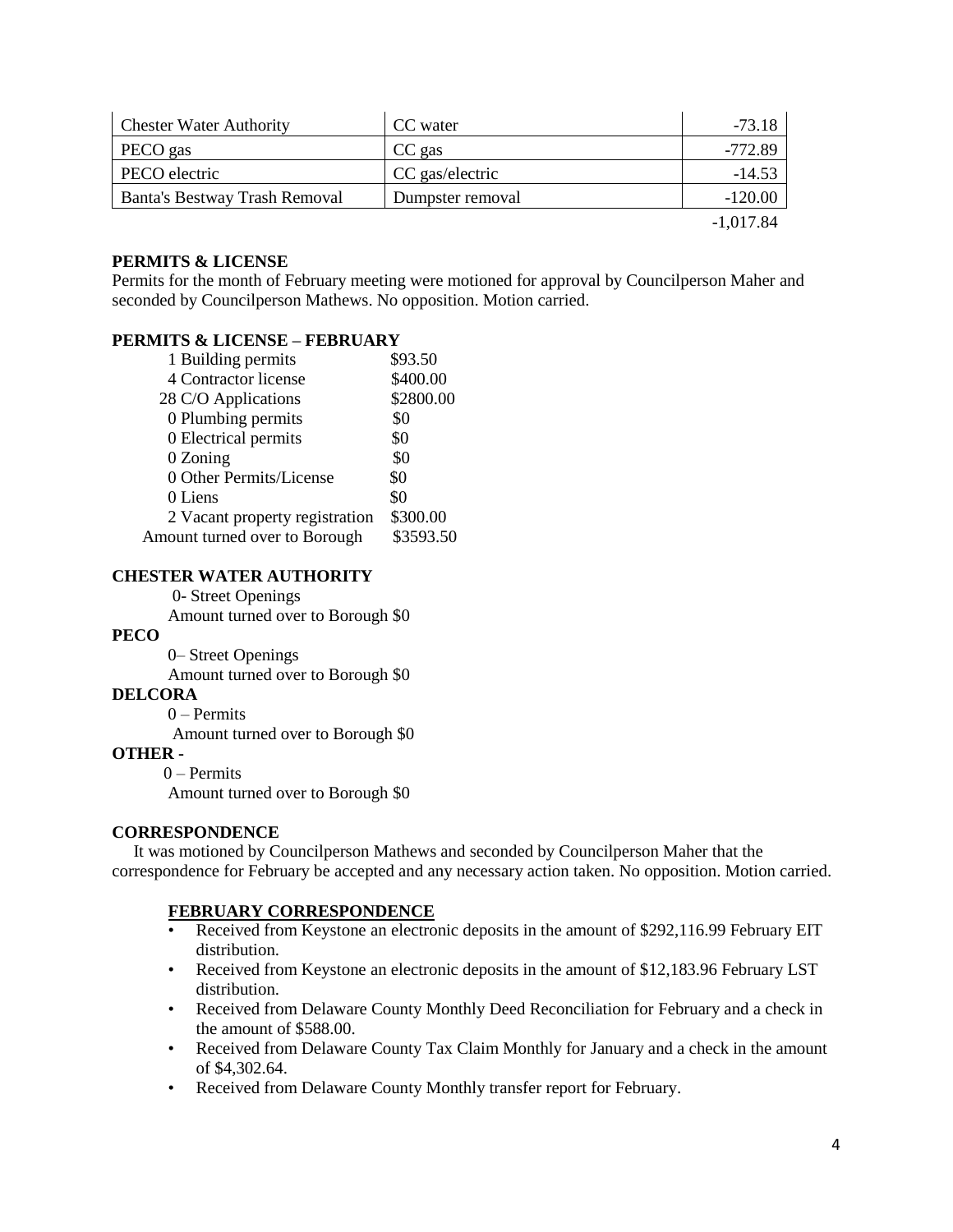| <b>Chester Water Authority</b> | CC water         | $-73.18$    |
|--------------------------------|------------------|-------------|
| PECO gas                       | CC gas           | $-772.89$   |
| PECO electric                  | CC gas/electric  | $-14.53$    |
| Banta's Bestway Trash Removal  | Dumpster removal | $-120.00$   |
|                                |                  | $-1,017.84$ |

### **PERMITS & LICENSE**

Permits for the month of February meeting were motioned for approval by Councilperson Maher and seconded by Councilperson Mathews. No opposition. Motion carried.

### **PERMITS & LICENSE – FEBRUARY**

| \$93.50   |
|-----------|
| \$400.00  |
| \$2800.00 |
| \$0       |
| \$0       |
| \$0       |
| \$0       |
| \$0       |
| \$300.00  |
| \$3593.50 |
|           |

# **CHESTER WATER AUTHORITY**

0- Street Openings

Amount turned over to Borough \$0

### **PECO**

 0– Street Openings Amount turned over to Borough \$0

### **DELCORA**

0 – Permits

Amount turned over to Borough \$0

### **OTHER -**

0 – Permits Amount turned over to Borough \$0

# **CORRESPONDENCE**

 It was motioned by Councilperson Mathews and seconded by Councilperson Maher that the correspondence for February be accepted and any necessary action taken. No opposition. Motion carried.

### **FEBRUARY CORRESPONDENCE**

- Received from Keystone an electronic deposits in the amount of \$292,116.99 February EIT distribution.
- Received from Keystone an electronic deposits in the amount of \$12,183.96 February LST distribution.
- Received from Delaware County Monthly Deed Reconciliation for February and a check in the amount of \$588.00.
- Received from Delaware County Tax Claim Monthly for January and a check in the amount of \$4,302.64.
- Received from Delaware County Monthly transfer report for February.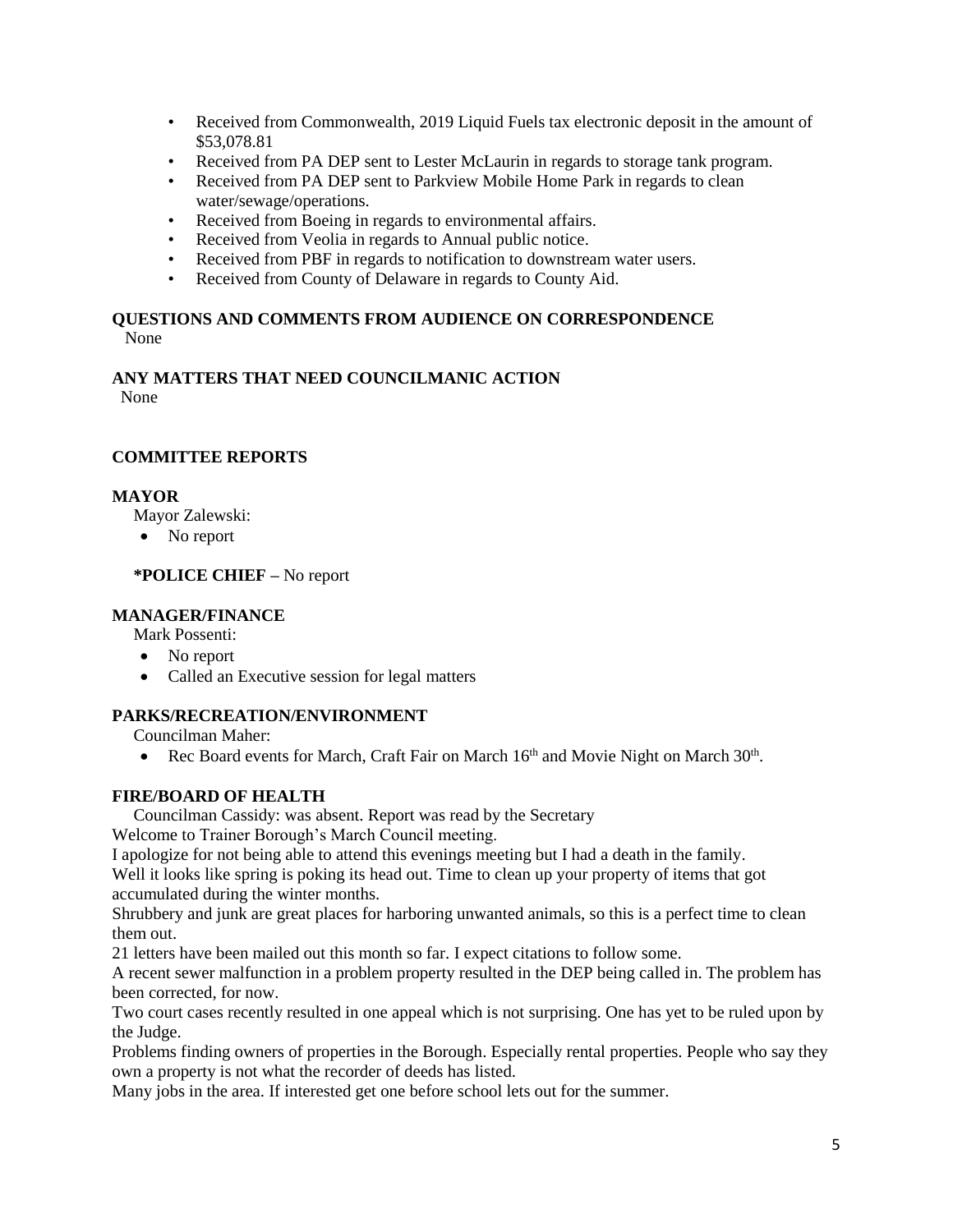- Received from Commonwealth, 2019 Liquid Fuels tax electronic deposit in the amount of \$53,078.81
- Received from PA DEP sent to Lester McLaurin in regards to storage tank program.
- Received from PA DEP sent to Parkview Mobile Home Park in regards to clean water/sewage/operations.
- Received from Boeing in regards to environmental affairs.
- Received from Veolia in regards to Annual public notice.
- Received from PBF in regards to notification to downstream water users.
- Received from County of Delaware in regards to County Aid.

# **QUESTIONS AND COMMENTS FROM AUDIENCE ON CORRESPONDENCE** None

# **ANY MATTERS THAT NEED COUNCILMANIC ACTION**

None

# **COMMITTEE REPORTS**

# **MAYOR**

Mayor Zalewski:

• No report

# **\*POLICE CHIEF –** No report

# **MANAGER/FINANCE**

Mark Possenti:

- No report
- Called an Executive session for legal matters

# **PARKS/RECREATION/ENVIRONMENT**

Councilman Maher:

• Rec Board events for March, Craft Fair on March 16<sup>th</sup> and Movie Night on March 30<sup>th</sup>.

# **FIRE/BOARD OF HEALTH**

Councilman Cassidy: was absent. Report was read by the Secretary

Welcome to Trainer Borough's March Council meeting.

I apologize for not being able to attend this evenings meeting but I had a death in the family.

Well it looks like spring is poking its head out. Time to clean up your property of items that got accumulated during the winter months.

Shrubbery and junk are great places for harboring unwanted animals, so this is a perfect time to clean them out.

21 letters have been mailed out this month so far. I expect citations to follow some.

A recent sewer malfunction in a problem property resulted in the DEP being called in. The problem has been corrected, for now.

Two court cases recently resulted in one appeal which is not surprising. One has yet to be ruled upon by the Judge.

Problems finding owners of properties in the Borough. Especially rental properties. People who say they own a property is not what the recorder of deeds has listed.

Many jobs in the area. If interested get one before school lets out for the summer.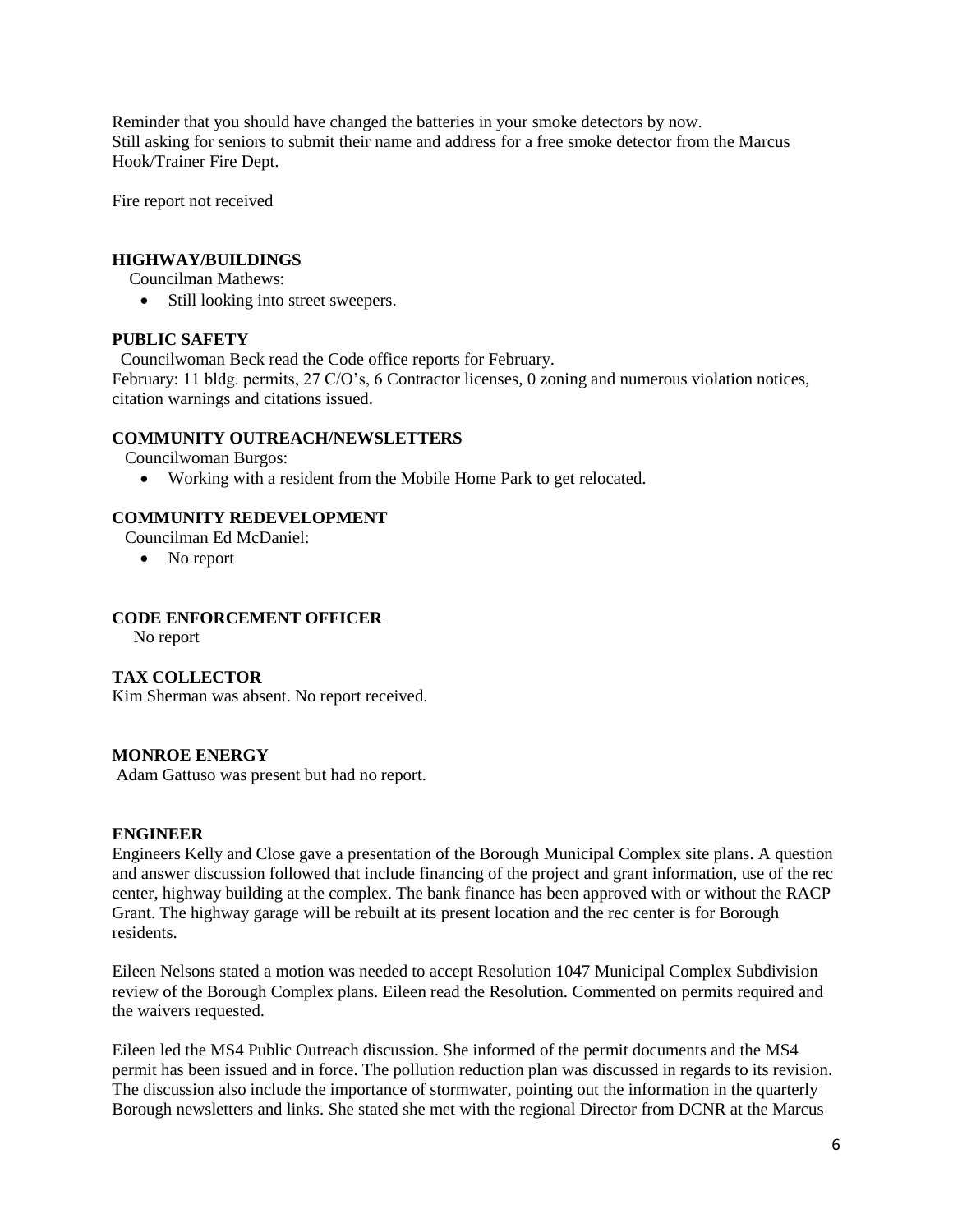Reminder that you should have changed the batteries in your smoke detectors by now. Still asking for seniors to submit their name and address for a free smoke detector from the Marcus Hook/Trainer Fire Dept.

Fire report not received

# **HIGHWAY/BUILDINGS**

Councilman Mathews:

• Still looking into street sweepers.

# **PUBLIC SAFETY**

Councilwoman Beck read the Code office reports for February.

February: 11 bldg. permits, 27 C/O's, 6 Contractor licenses, 0 zoning and numerous violation notices, citation warnings and citations issued.

# **COMMUNITY OUTREACH/NEWSLETTERS**

Councilwoman Burgos:

Working with a resident from the Mobile Home Park to get relocated.

# **COMMUNITY REDEVELOPMENT**

Councilman Ed McDaniel:

• No report

# **CODE ENFORCEMENT OFFICER**

No report

# **TAX COLLECTOR**

Kim Sherman was absent. No report received.

# **MONROE ENERGY**

Adam Gattuso was present but had no report.

# **ENGINEER**

Engineers Kelly and Close gave a presentation of the Borough Municipal Complex site plans. A question and answer discussion followed that include financing of the project and grant information, use of the rec center, highway building at the complex. The bank finance has been approved with or without the RACP Grant. The highway garage will be rebuilt at its present location and the rec center is for Borough residents.

Eileen Nelsons stated a motion was needed to accept Resolution 1047 Municipal Complex Subdivision review of the Borough Complex plans. Eileen read the Resolution. Commented on permits required and the waivers requested.

Eileen led the MS4 Public Outreach discussion. She informed of the permit documents and the MS4 permit has been issued and in force. The pollution reduction plan was discussed in regards to its revision. The discussion also include the importance of stormwater, pointing out the information in the quarterly Borough newsletters and links. She stated she met with the regional Director from DCNR at the Marcus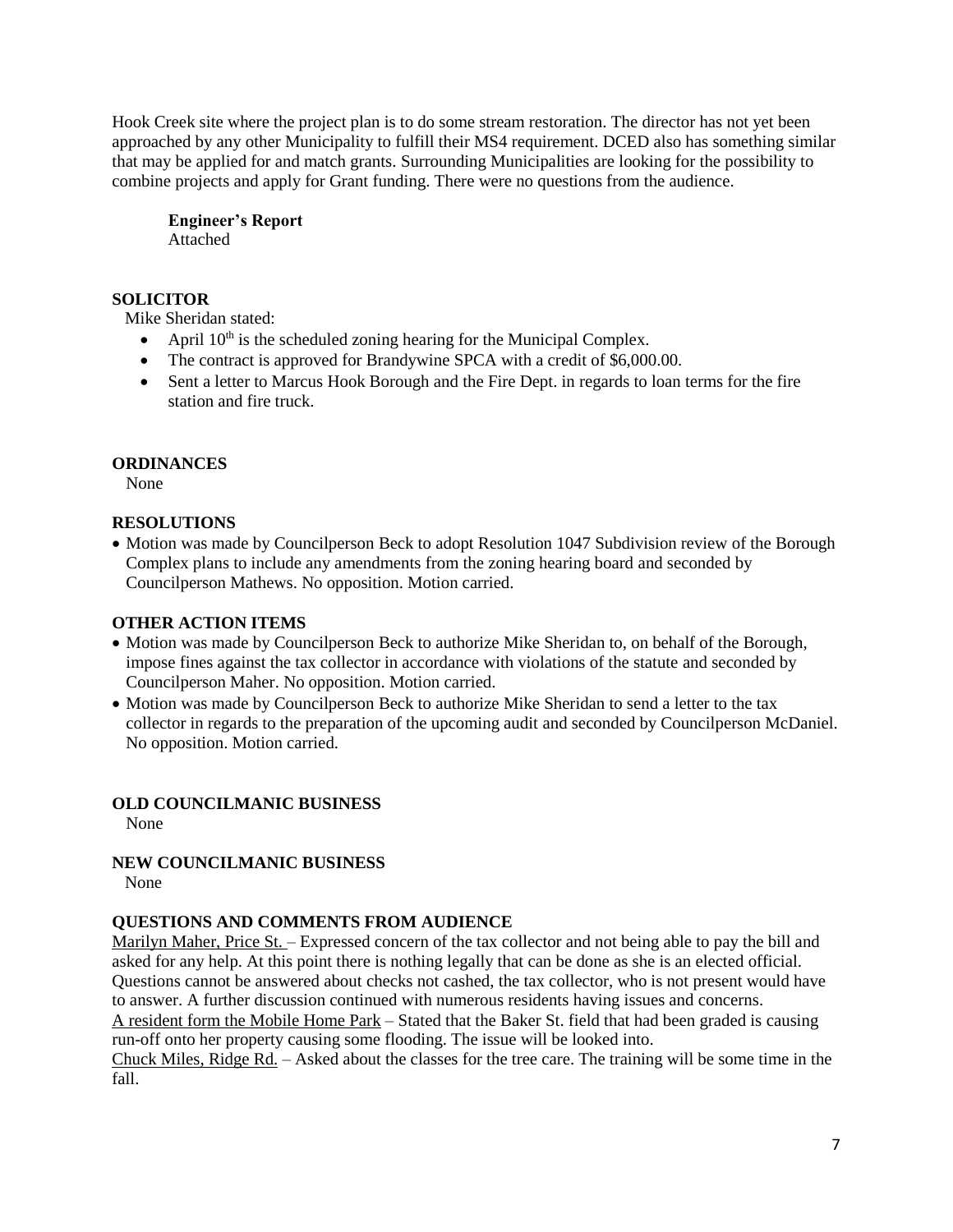Hook Creek site where the project plan is to do some stream restoration. The director has not yet been approached by any other Municipality to fulfill their MS4 requirement. DCED also has something similar that may be applied for and match grants. Surrounding Municipalities are looking for the possibility to combine projects and apply for Grant funding. There were no questions from the audience.

**Engineer's Report** Attached

# **SOLICITOR**

Mike Sheridan stated:

- April  $10<sup>th</sup>$  is the scheduled zoning hearing for the Municipal Complex.
- The contract is approved for Brandywine SPCA with a credit of \$6,000.00.
- Sent a letter to Marcus Hook Borough and the Fire Dept. in regards to loan terms for the fire station and fire truck.

# **ORDINANCES**

None

# **RESOLUTIONS**

• Motion was made by Councilperson Beck to adopt Resolution 1047 Subdivision review of the Borough Complex plans to include any amendments from the zoning hearing board and seconded by Councilperson Mathews. No opposition. Motion carried.

# **OTHER ACTION ITEMS**

- Motion was made by Councilperson Beck to authorize Mike Sheridan to, on behalf of the Borough, impose fines against the tax collector in accordance with violations of the statute and seconded by Councilperson Maher. No opposition. Motion carried.
- Motion was made by Councilperson Beck to authorize Mike Sheridan to send a letter to the tax collector in regards to the preparation of the upcoming audit and seconded by Councilperson McDaniel. No opposition. Motion carried.

# **OLD COUNCILMANIC BUSINESS**

None

**NEW COUNCILMANIC BUSINESS**  None

# **QUESTIONS AND COMMENTS FROM AUDIENCE**

Marilyn Maher, Price St. – Expressed concern of the tax collector and not being able to pay the bill and asked for any help. At this point there is nothing legally that can be done as she is an elected official. Questions cannot be answered about checks not cashed, the tax collector, who is not present would have to answer. A further discussion continued with numerous residents having issues and concerns.

A resident form the Mobile Home Park – Stated that the Baker St. field that had been graded is causing run-off onto her property causing some flooding. The issue will be looked into.

Chuck Miles, Ridge Rd. – Asked about the classes for the tree care. The training will be some time in the fall.